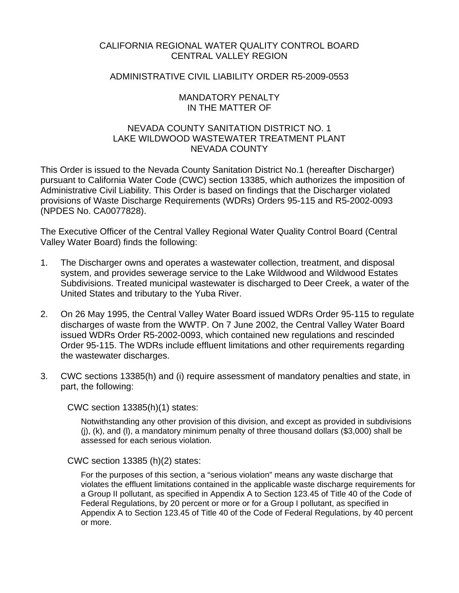# CALIFORNIA REGIONAL WATER QUALITY CONTROL BOARD CENTRAL VALLEY REGION

# ADMINISTRATIVE CIVIL LIABILITY ORDER R5-2009-0553

### MANDATORY PENALTY IN THE MATTER OF

# NEVADA COUNTY SANITATION DISTRICT NO. 1 LAKE WILDWOOD WASTEWATER TREATMENT PLANT NEVADA COUNTY

This Order is issued to the Nevada County Sanitation District No.1 (hereafter Discharger) pursuant to California Water Code (CWC) section 13385, which authorizes the imposition of Administrative Civil Liability. This Order is based on findings that the Discharger violated provisions of Waste Discharge Requirements (WDRs) Orders 95-115 and R5-2002-0093 (NPDES No. CA0077828).

The Executive Officer of the Central Valley Regional Water Quality Control Board (Central Valley Water Board) finds the following:

- 1. The Discharger owns and operates a wastewater collection, treatment, and disposal system, and provides sewerage service to the Lake Wildwood and Wildwood Estates Subdivisions. Treated municipal wastewater is discharged to Deer Creek, a water of the United States and tributary to the Yuba River.
- 2. On 26 May 1995, the Central Valley Water Board issued WDRs Order 95-115 to regulate discharges of waste from the WWTP. On 7 June 2002, the Central Valley Water Board issued WDRs Order R5-2002-0093, which contained new regulations and rescinded Order 95-115. The WDRs include effluent limitations and other requirements regarding the wastewater discharges.
- 3. CWC sections 13385(h) and (i) require assessment of mandatory penalties and state, in part, the following:

CWC section 13385(h)(1) states:

Notwithstanding any other provision of this division, and except as provided in subdivisions  $(i)$ ,  $(k)$ , and  $(l)$ , a mandatory minimum penalty of three thousand dollars (\$3,000) shall be assessed for each serious violation.

CWC section 13385 (h)(2) states:

For the purposes of this section, a "serious violation" means any waste discharge that violates the effluent limitations contained in the applicable waste discharge requirements for a Group II pollutant, as specified in Appendix A to Section 123.45 of Title 40 of the Code of Federal Regulations, by 20 percent or more or for a Group I pollutant, as specified in Appendix A to Section 123.45 of Title 40 of the Code of Federal Regulations, by 40 percent or more.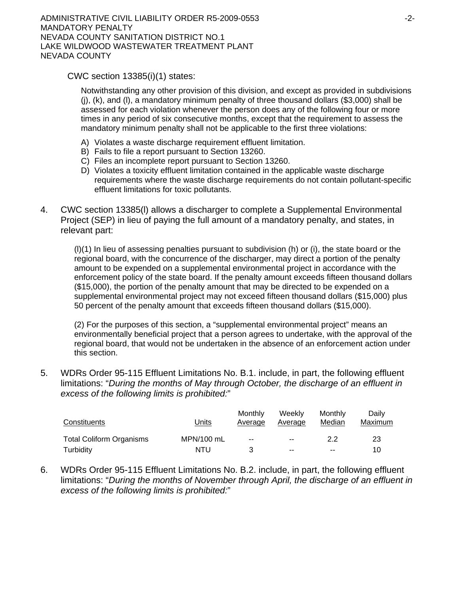CWC section 13385(i)(1) states:

Notwithstanding any other provision of this division, and except as provided in subdivisions  $(i)$ ,  $(k)$ , and  $(l)$ , a mandatory minimum penalty of three thousand dollars (\$3,000) shall be assessed for each violation whenever the person does any of the following four or more times in any period of six consecutive months, except that the requirement to assess the mandatory minimum penalty shall not be applicable to the first three violations:

- A) Violates a waste discharge requirement effluent limitation.
- B) Fails to file a report pursuant to Section 13260.
- C) Files an incomplete report pursuant to Section 13260.
- D) Violates a toxicity effluent limitation contained in the applicable waste discharge requirements where the waste discharge requirements do not contain pollutant-specific effluent limitations for toxic pollutants.
- 4. CWC section 13385(l) allows a discharger to complete a Supplemental Environmental Project (SEP) in lieu of paying the full amount of a mandatory penalty, and states, in relevant part:

 $(l)(1)$  In lieu of assessing penalties pursuant to subdivision (h) or (i), the state board or the regional board, with the concurrence of the discharger, may direct a portion of the penalty amount to be expended on a supplemental environmental project in accordance with the enforcement policy of the state board. If the penalty amount exceeds fifteen thousand dollars (\$15,000), the portion of the penalty amount that may be directed to be expended on a supplemental environmental project may not exceed fifteen thousand dollars (\$15,000) plus 50 percent of the penalty amount that exceeds fifteen thousand dollars (\$15,000).

(2) For the purposes of this section, a "supplemental environmental project" means an environmentally beneficial project that a person agrees to undertake, with the approval of the regional board, that would not be undertaken in the absence of an enforcement action under this section.

5. WDRs Order 95-115 Effluent Limitations No. B.1. include, in part, the following effluent limitations: "*During the months of May through October, the discharge of an effluent in excess of the following limits is prohibited:*"

| Constituents                    | Units      | Monthly<br>Average | Weekly<br>Average | Monthly<br>Median | Dailv<br>Maximum |
|---------------------------------|------------|--------------------|-------------------|-------------------|------------------|
| <b>Total Coliform Organisms</b> | MPN/100 mL | $\sim$ $\sim$      | $\sim$            | 22                | 23               |
| Turbidity                       | NTU        |                    | $\sim$ $\sim$     | $-$               | 10               |

6. WDRs Order 95-115 Effluent Limitations No. B.2. include, in part, the following effluent limitations: "*During the months of November through April, the discharge of an effluent in excess of the following limits is prohibited:*"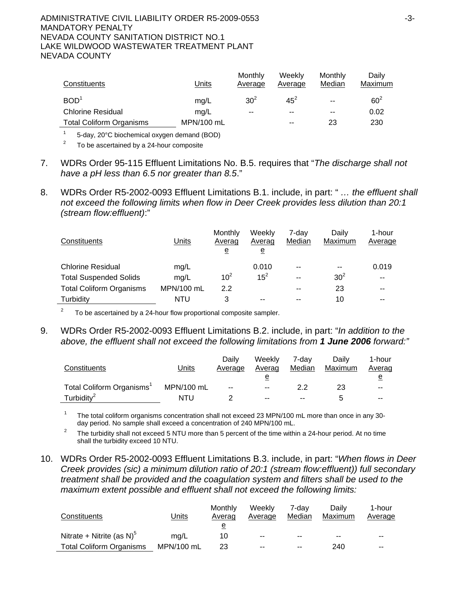#### ADMINISTRATIVE CIVIL LIABILITY ORDER R5-2009-0553 43-3-MANDATORY PENALTY NEVADA COUNTY SANITATION DISTRICT NO.1 LAKE WILDWOOD WASTEWATER TREATMENT PLANT NEVADA COUNTY

| Constituents                    | Units      | Monthly<br>Average | Weekly<br>Average | Monthly<br>Median | Daily<br>Maximum |
|---------------------------------|------------|--------------------|-------------------|-------------------|------------------|
| BOD <sup>1</sup>                | mg/L       | 30 <sup>2</sup>    | $45^2$            | $- -$             | $60^2$           |
| <b>Chlorine Residual</b>        | ma/L       | $-$                | $- -$             | $- -$             | 0.02             |
| <b>Total Coliform Organisms</b> | MPN/100 mL |                    | $- -$             | 23                | 230              |

1 5-day, 20°C biochemical oxygen demand (BOD)

2 To be ascertained by a 24-hour composite

- 7. WDRs Order 95-115 Effluent Limitations No. B.5. requires that "*The discharge shall not have a pH less than 6.5 nor greater than 8.5*."
- 8. WDRs Order R5-2002-0093 Effluent Limitations B.1. include, in part: " *… the effluent shall not exceed the following limits when flow in Deer Creek provides less dilution than 20:1 (stream flow:effluent)*:"

| Constituents                    | Units      | Monthly<br>Averag<br>e | Weeklv<br>Averag<br>е | 7-dav<br>Median | Daily<br>Maximum | 1-hour<br>Average |
|---------------------------------|------------|------------------------|-----------------------|-----------------|------------------|-------------------|
| <b>Chlorine Residual</b>        | mg/L       |                        | 0.010                 | --              | --               | 0.019             |
| <b>Total Suspended Solids</b>   | mg/L       | 10 <sup>2</sup>        | $15^2$                | $- -$           | 30 <sup>2</sup>  | $\sim$ $\sim$     |
| <b>Total Coliform Organisms</b> | MPN/100 mL | 2.2                    |                       | $- -$           | 23               | $- -$             |
| Turbidity                       | NTU        |                        | --                    | --              | 10               | --                |

2 To be ascertained by a 24-hour flow proportional composite sampler.

9. WDRs Order R5-2002-0093 Effluent Limitations B.2. include, in part: "*In addition to the above, the effluent shall not exceed the following limitations from 1 June 2006 forward:"*

| Constituents                          | <b>Units</b> | Dailv<br>Average | Weekly<br>Averag | 7-dav<br>Median | Daily<br>Maximum | 1-hour<br>Averag |
|---------------------------------------|--------------|------------------|------------------|-----------------|------------------|------------------|
|                                       |              |                  | е                |                 |                  | e                |
| Total Coliform Organisms <sup>1</sup> | MPN/100 mL   | $-$              | $- -$            | 2.2             | 23               | $- -$            |
| Turbidity <sup>2</sup>                | NTU          |                  | $- -$            | $- -$           |                  | $- -$            |

1 The total coliform organisms concentration shall not exceed 23 MPN/100 mL more than once in any 30 day period. No sample shall exceed a concentration of 240 MPN/100 mL.

 The turbidity shall not exceed 5 NTU more than 5 percent of the time within a 24-hour period. At no time shall the turbidity exceed 10 NTU.

10. WDRs Order R5-2002-0093 Effluent Limitations B.3. include, in part: "*When flows in Deer Creek provides (sic) a minimum dilution ratio of 20:1 (stream flow:effluent)) full secondary treatment shall be provided and the coagulation system and filters shall be used to the maximum extent possible and effluent shall not exceed the following limits:*

| Constituents                          | Units      | Monthly<br>Averag | Weekly<br>Average | 7-dav<br>Median | Dailv<br>Maximum | 1-hour<br>Average |
|---------------------------------------|------------|-------------------|-------------------|-----------------|------------------|-------------------|
|                                       |            | е                 |                   |                 |                  |                   |
| Nitrate + Nitrite (as N) <sup>5</sup> | ma/L       | 10                | $- -$             | $- -$           | $- -$            | $- -$             |
| <b>Total Coliform Organisms</b>       | MPN/100 mL | 23                | $- -$             | $- -$           | 240              | $- -$             |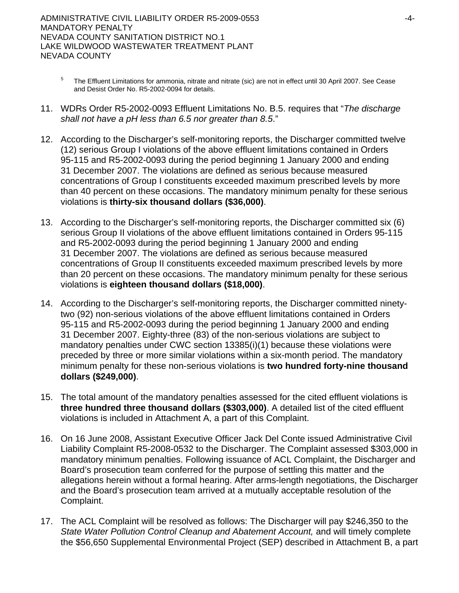- 5 The Effluent Limitations for ammonia, nitrate and nitrate (sic) are not in effect until 30 April 2007. See Cease and Desist Order No. R5-2002-0094 for details.
- 11. WDRs Order R5-2002-0093 Effluent Limitations No. B.5. requires that "*The discharge shall not have a pH less than 6.5 nor greater than 8.5*."
- 12. According to the Discharger's self-monitoring reports, the Discharger committed twelve (12) serious Group I violations of the above effluent limitations contained in Orders 95-115 and R5-2002-0093 during the period beginning 1 January 2000 and ending 31 December 2007. The violations are defined as serious because measured concentrations of Group I constituents exceeded maximum prescribed levels by more than 40 percent on these occasions. The mandatory minimum penalty for these serious violations is **thirty-six thousand dollars (\$36,000)**.
- 13. According to the Discharger's self-monitoring reports, the Discharger committed six (6) serious Group II violations of the above effluent limitations contained in Orders 95-115 and R5-2002-0093 during the period beginning 1 January 2000 and ending 31 December 2007. The violations are defined as serious because measured concentrations of Group II constituents exceeded maximum prescribed levels by more than 20 percent on these occasions. The mandatory minimum penalty for these serious violations is **eighteen thousand dollars (\$18,000)**.
- 14. According to the Discharger's self-monitoring reports, the Discharger committed ninetytwo (92) non-serious violations of the above effluent limitations contained in Orders 95-115 and R5-2002-0093 during the period beginning 1 January 2000 and ending 31 December 2007. Eighty-three (83) of the non-serious violations are subject to mandatory penalties under CWC section 13385(i)(1) because these violations were preceded by three or more similar violations within a six-month period. The mandatory minimum penalty for these non-serious violations is **two hundred forty-nine thousand dollars (\$249,000)**.
- 15. The total amount of the mandatory penalties assessed for the cited effluent violations is **three hundred three thousand dollars (\$303,000)**. A detailed list of the cited effluent violations is included in Attachment A, a part of this Complaint.
- 16. On 16 June 2008, Assistant Executive Officer Jack Del Conte issued Administrative Civil Liability Complaint R5-2008-0532 to the Discharger. The Complaint assessed \$303,000 in mandatory minimum penalties. Following issuance of ACL Complaint, the Discharger and Board's prosecution team conferred for the purpose of settling this matter and the allegations herein without a formal hearing. After arms-length negotiations, the Discharger and the Board's prosecution team arrived at a mutually acceptable resolution of the Complaint.
- 17. The ACL Complaint will be resolved as follows: The Discharger will pay \$246,350 to the *State Water Pollution Control Cleanup and Abatement Account,* and will timely complete the \$56,650 Supplemental Environmental Project (SEP) described in Attachment B, a part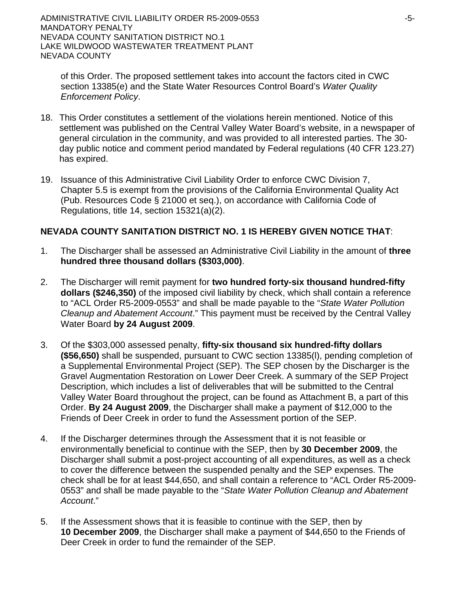of this Order. The proposed settlement takes into account the factors cited in CWC section 13385(e) and the State Water Resources Control Board's *Water Quality Enforcement Policy*.

- 18. This Order constitutes a settlement of the violations herein mentioned. Notice of this settlement was published on the Central Valley Water Board's website, in a newspaper of general circulation in the community, and was provided to all interested parties. The 30 day public notice and comment period mandated by Federal regulations (40 CFR 123.27) has expired.
- 19. Issuance of this Administrative Civil Liability Order to enforce CWC Division 7, Chapter 5.5 is exempt from the provisions of the California Environmental Quality Act (Pub. Resources Code § 21000 et seq.), on accordance with California Code of Regulations, title 14, section 15321(a)(2).

# **NEVADA COUNTY SANITATION DISTRICT NO. 1 IS HEREBY GIVEN NOTICE THAT**:

- 1. The Discharger shall be assessed an Administrative Civil Liability in the amount of **three hundred three thousand dollars (\$303,000)**.
- 2. The Discharger will remit payment for **two hundred forty-six thousand hundred-fifty dollars (\$246,350)** of the imposed civil liability by check, which shall contain a reference to "ACL Order R5-2009-0553" and shall be made payable to the "*State Water Pollution Cleanup and Abatement Account*." This payment must be received by the Central Valley Water Board **by 24 August 2009**.
- 3. Of the \$303,000 assessed penalty, **fifty-six thousand six hundred-fifty dollars (\$56,650)** shall be suspended, pursuant to CWC section 13385(l), pending completion of a Supplemental Environmental Project (SEP). The SEP chosen by the Discharger is the Gravel Augmentation Restoration on Lower Deer Creek. A summary of the SEP Project Description, which includes a list of deliverables that will be submitted to the Central Valley Water Board throughout the project, can be found as Attachment B, a part of this Order. **By 24 August 2009**, the Discharger shall make a payment of \$12,000 to the Friends of Deer Creek in order to fund the Assessment portion of the SEP.
- 4. If the Discharger determines through the Assessment that it is not feasible or environmentally beneficial to continue with the SEP, then by **30 December 2009**, the Discharger shall submit a post-project accounting of all expenditures, as well as a check to cover the difference between the suspended penalty and the SEP expenses. The check shall be for at least \$44,650, and shall contain a reference to "ACL Order R5-2009- 0553" and shall be made payable to the "*State Water Pollution Cleanup and Abatement Account*."
- 5. If the Assessment shows that it is feasible to continue with the SEP, then by **10 December 2009**, the Discharger shall make a payment of \$44,650 to the Friends of Deer Creek in order to fund the remainder of the SEP.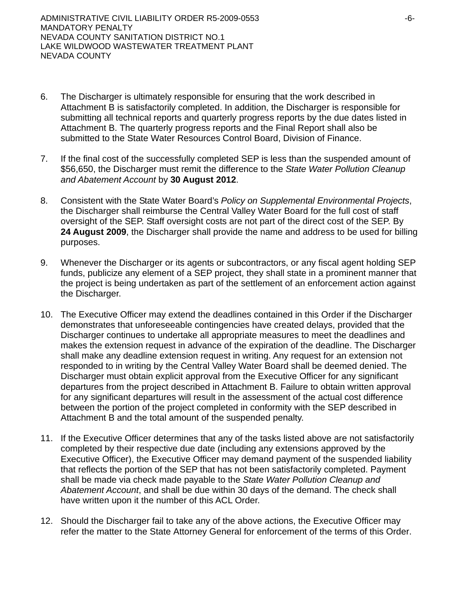- 6. The Discharger is ultimately responsible for ensuring that the work described in Attachment B is satisfactorily completed. In addition, the Discharger is responsible for submitting all technical reports and quarterly progress reports by the due dates listed in Attachment B. The quarterly progress reports and the Final Report shall also be submitted to the State Water Resources Control Board, Division of Finance.
- 7. If the final cost of the successfully completed SEP is less than the suspended amount of \$56,650, the Discharger must remit the difference to the *State Water Pollution Cleanup and Abatement Account* by **30 August 2012**.
- 8. Consistent with the State Water Board's *Policy on Supplemental Environmental Projects*, the Discharger shall reimburse the Central Valley Water Board for the full cost of staff oversight of the SEP. Staff oversight costs are not part of the direct cost of the SEP. By **24 August 2009**, the Discharger shall provide the name and address to be used for billing purposes.
- 9. Whenever the Discharger or its agents or subcontractors, or any fiscal agent holding SEP funds, publicize any element of a SEP project, they shall state in a prominent manner that the project is being undertaken as part of the settlement of an enforcement action against the Discharger.
- 10. The Executive Officer may extend the deadlines contained in this Order if the Discharger demonstrates that unforeseeable contingencies have created delays, provided that the Discharger continues to undertake all appropriate measures to meet the deadlines and makes the extension request in advance of the expiration of the deadline. The Discharger shall make any deadline extension request in writing. Any request for an extension not responded to in writing by the Central Valley Water Board shall be deemed denied. The Discharger must obtain explicit approval from the Executive Officer for any significant departures from the project described in Attachment B. Failure to obtain written approval for any significant departures will result in the assessment of the actual cost difference between the portion of the project completed in conformity with the SEP described in Attachment B and the total amount of the suspended penalty.
- 11. If the Executive Officer determines that any of the tasks listed above are not satisfactorily completed by their respective due date (including any extensions approved by the Executive Officer), the Executive Officer may demand payment of the suspended liability that reflects the portion of the SEP that has not been satisfactorily completed. Payment shall be made via check made payable to the *State Water Pollution Cleanup and Abatement Account*, and shall be due within 30 days of the demand. The check shall have written upon it the number of this ACL Order.
- 12. Should the Discharger fail to take any of the above actions, the Executive Officer may refer the matter to the State Attorney General for enforcement of the terms of this Order.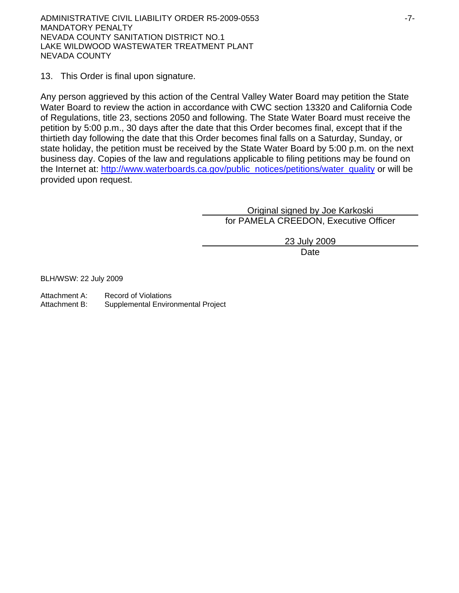ADMINISTRATIVE CIVIL LIABILITY ORDER R5-2009-0553 -7- MANDATORY PENALTY NEVADA COUNTY SANITATION DISTRICT NO.1 LAKE WILDWOOD WASTEWATER TREATMENT PLANT NEVADA COUNTY

13. This Order is final upon signature.

Any person aggrieved by this action of the Central Valley Water Board may petition the State Water Board to review the action in accordance with CWC section 13320 and California Code of Regulations, title 23, sections 2050 and following. The State Water Board must receive the petition by 5:00 p.m., 30 days after the date that this Order becomes final, except that if the thirtieth day following the date that this Order becomes final falls on a Saturday, Sunday, or state holiday, the petition must be received by the State Water Board by 5:00 p.m. on the next business day. Copies of the law and regulations applicable to filing petitions may be found on the Internet at: http://www.waterboards.ca.gov/public\_notices/petitions/water\_quality or will be provided upon request.

> Original signed by Joe Karkoski for PAMELA CREEDON, Executive Officer

> > 23 July 2009

**Date** and the contract of the contract of the contract of the contract of the contract of the contract of the contract of the contract of the contract of the contract of the contract of the contract of the contract of the

BLH/WSW: 22 July 2009

Attachment A: Record of Violations

Attachment B: Supplemental Environmental Project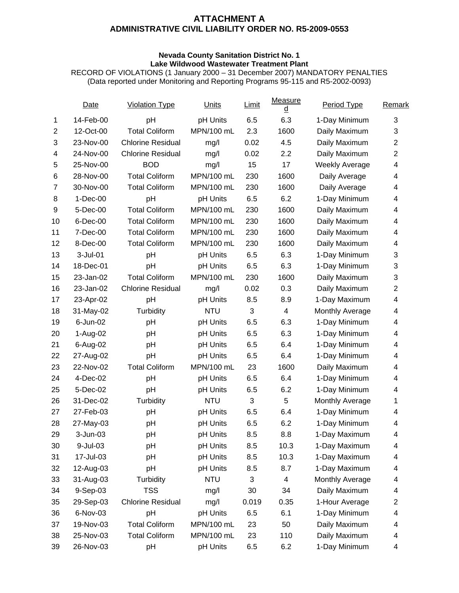#### **Nevada County Sanitation District No. 1 Lake Wildwood Wastewater Treatment Plant**

RECORD OF VIOLATIONS (1 January 2000 – 31 December 2007) MANDATORY PENALTIES (Data reported under Monitoring and Reporting Programs 95-115 and R5-2002-0093)

|                | Date         | <b>Violation Type</b>    | <b>Units</b> | Limit | Measure<br>$\underline{\mathsf{d}}$ | Period Type           | Remark                  |
|----------------|--------------|--------------------------|--------------|-------|-------------------------------------|-----------------------|-------------------------|
| 1              | 14-Feb-00    | pH                       | pH Units     | 6.5   | 6.3                                 | 1-Day Minimum         | 3                       |
| $\overline{2}$ | 12-Oct-00    | <b>Total Coliform</b>    | MPN/100 mL   | 2.3   | 1600                                | Daily Maximum         | 3                       |
| 3              | 23-Nov-00    | <b>Chlorine Residual</b> | mg/l         | 0.02  | 4.5                                 | Daily Maximum         | $\overline{c}$          |
| 4              | 24-Nov-00    | <b>Chlorine Residual</b> | mg/l         | 0.02  | 2.2                                 | Daily Maximum         | $\overline{c}$          |
| 5              | 25-Nov-00    | <b>BOD</b>               | mg/l         | 15    | 17                                  | <b>Weekly Average</b> | $\overline{\mathbf{4}}$ |
| 6              | 28-Nov-00    | <b>Total Coliform</b>    | MPN/100 mL   | 230   | 1600                                | Daily Average         | 4                       |
| $\overline{7}$ | 30-Nov-00    | <b>Total Coliform</b>    | MPN/100 mL   | 230   | 1600                                | Daily Average         | 4                       |
| 8              | $1-Dec-00$   | pH                       | pH Units     | 6.5   | 6.2                                 | 1-Day Minimum         | 4                       |
| 9              | 5-Dec-00     | <b>Total Coliform</b>    | MPN/100 mL   | 230   | 1600                                | Daily Maximum         | 4                       |
| 10             | 6-Dec-00     | <b>Total Coliform</b>    | MPN/100 mL   | 230   | 1600                                | Daily Maximum         | 4                       |
| 11             | 7-Dec-00     | <b>Total Coliform</b>    | MPN/100 mL   | 230   | 1600                                | Daily Maximum         | 4                       |
| 12             | 8-Dec-00     | <b>Total Coliform</b>    | MPN/100 mL   | 230   | 1600                                | Daily Maximum         | 4                       |
| 13             | $3-Jul-01$   | pH                       | pH Units     | 6.5   | 6.3                                 | 1-Day Minimum         | 3                       |
| 14             | 18-Dec-01    | pH                       | pH Units     | 6.5   | 6.3                                 | 1-Day Minimum         | 3                       |
| 15             | 23-Jan-02    | <b>Total Coliform</b>    | MPN/100 mL   | 230   | 1600                                | Daily Maximum         | 3                       |
| 16             | 23-Jan-02    | <b>Chlorine Residual</b> | mg/l         | 0.02  | 0.3                                 | Daily Maximum         | $\overline{c}$          |
| 17             | 23-Apr-02    | pH                       | pH Units     | 8.5   | 8.9                                 | 1-Day Maximum         | 4                       |
| 18             | 31-May-02    | Turbidity                | <b>NTU</b>   | 3     | $\overline{4}$                      | Monthly Average       | 4                       |
| 19             | 6-Jun-02     | pH                       | pH Units     | 6.5   | 6.3                                 | 1-Day Minimum         | 4                       |
| 20             | 1-Aug-02     | pH                       | pH Units     | 6.5   | 6.3                                 | 1-Day Minimum         | $\overline{\mathbf{4}}$ |
| 21             | 6-Aug-02     | pH                       | pH Units     | 6.5   | 6.4                                 | 1-Day Minimum         | 4                       |
| 22             | 27-Aug-02    | pH                       | pH Units     | 6.5   | 6.4                                 | 1-Day Minimum         | 4                       |
| 23             | 22-Nov-02    | <b>Total Coliform</b>    | MPN/100 mL   | 23    | 1600                                | Daily Maximum         | 4                       |
| 24             | 4-Dec-02     | pH                       | pH Units     | 6.5   | 6.4                                 | 1-Day Minimum         | 4                       |
| 25             | 5-Dec-02     | pH                       | pH Units     | 6.5   | 6.2                                 | 1-Day Minimum         | 4                       |
| 26             | 31-Dec-02    | Turbidity                | <b>NTU</b>   | 3     | 5                                   | Monthly Average       | 1                       |
| 27             | 27-Feb-03    | pH                       | pH Units     | 6.5   | 6.4                                 | 1-Day Minimum         | 4                       |
| 28             | 27-May-03    | pH                       | pH Units     | 6.5   | 6.2                                 | 1-Day Minimum         | 4                       |
| 29             | $3 - Jun-03$ | pH                       | pH Units     | 8.5   | 8.8                                 | 1-Day Maximum         | 4                       |
| 30             | 9-Jul-03     | pH                       | pH Units     | 8.5   | 10.3                                | 1-Day Maximum         | 4                       |
| 31             | 17-Jul-03    | pH                       | pH Units     | 8.5   | 10.3                                | 1-Day Maximum         | 4                       |
| 32             | 12-Aug-03    | pH                       | pH Units     | 8.5   | 8.7                                 | 1-Day Maximum         | 4                       |
| 33             | 31-Aug-03    | Turbidity                | <b>NTU</b>   | 3     | 4                                   | Monthly Average       | 4                       |
| 34             | 9-Sep-03     | <b>TSS</b>               | mg/l         | 30    | 34                                  | Daily Maximum         | 4                       |
| 35             | 29-Sep-03    | <b>Chlorine Residual</b> | mg/l         | 0.019 | 0.35                                | 1-Hour Average        | 2                       |
| 36             | 6-Nov-03     | pH                       | pH Units     | 6.5   | 6.1                                 | 1-Day Minimum         | 4                       |
| 37             | 19-Nov-03    | <b>Total Coliform</b>    | MPN/100 mL   | 23    | 50                                  | Daily Maximum         | 4                       |
| 38             | 25-Nov-03    | <b>Total Coliform</b>    | MPN/100 mL   | 23    | 110                                 | Daily Maximum         | 4                       |
| 39             | 26-Nov-03    | pH                       | pH Units     | 6.5   | 6.2                                 | 1-Day Minimum         | 4                       |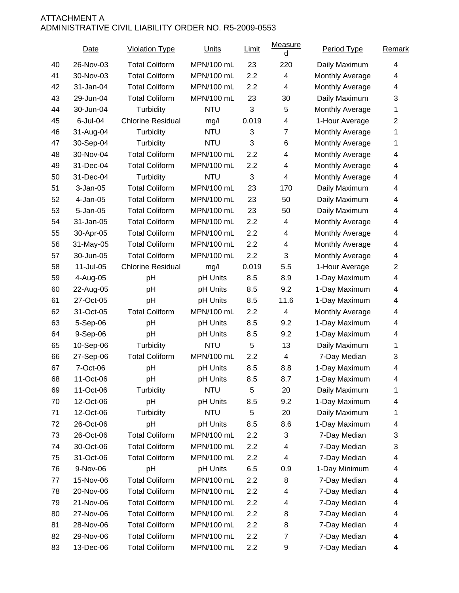|    | Date        | <b>Violation Type</b>    | <b>Units</b> | <b>Limit</b> | Measure<br>₫              | Period Type     | Remark         |
|----|-------------|--------------------------|--------------|--------------|---------------------------|-----------------|----------------|
| 40 | 26-Nov-03   | <b>Total Coliform</b>    | MPN/100 mL   | 23           | 220                       | Daily Maximum   | 4              |
| 41 | 30-Nov-03   | <b>Total Coliform</b>    | MPN/100 mL   | 2.2          | 4                         | Monthly Average | 4              |
| 42 | 31-Jan-04   | <b>Total Coliform</b>    | MPN/100 mL   | 2.2          | 4                         | Monthly Average | 4              |
| 43 | 29-Jun-04   | <b>Total Coliform</b>    | MPN/100 mL   | 23           | 30                        | Daily Maximum   | 3              |
| 44 | 30-Jun-04   | Turbidity                | <b>NTU</b>   | 3            | 5                         | Monthly Average | 1              |
| 45 | $6$ -Jul-04 | <b>Chlorine Residual</b> | mg/l         | 0.019        | 4                         | 1-Hour Average  | $\overline{2}$ |
| 46 | 31-Aug-04   | Turbidity                | <b>NTU</b>   | 3            | $\overline{7}$            | Monthly Average | 1              |
| 47 | 30-Sep-04   | Turbidity                | <b>NTU</b>   | 3            | 6                         | Monthly Average | 1              |
| 48 | 30-Nov-04   | <b>Total Coliform</b>    | MPN/100 mL   | 2.2          | 4                         | Monthly Average | 4              |
| 49 | 31-Dec-04   | <b>Total Coliform</b>    | MPN/100 mL   | 2.2          | 4                         | Monthly Average | 4              |
| 50 | 31-Dec-04   | Turbidity                | <b>NTU</b>   | 3            | 4                         | Monthly Average | 4              |
| 51 | $3-Jan-05$  | <b>Total Coliform</b>    | MPN/100 mL   | 23           | 170                       | Daily Maximum   | 4              |
| 52 | 4-Jan-05    | <b>Total Coliform</b>    | MPN/100 mL   | 23           | 50                        | Daily Maximum   | 4              |
| 53 | 5-Jan-05    | <b>Total Coliform</b>    | MPN/100 mL   | 23           | 50                        | Daily Maximum   | 4              |
| 54 | 31-Jan-05   | <b>Total Coliform</b>    | MPN/100 mL   | 2.2          | 4                         | Monthly Average | 4              |
| 55 | 30-Apr-05   | <b>Total Coliform</b>    | MPN/100 mL   | 2.2          | 4                         | Monthly Average | 4              |
| 56 | 31-May-05   | <b>Total Coliform</b>    | MPN/100 mL   | 2.2          | 4                         | Monthly Average | 4              |
| 57 | 30-Jun-05   | <b>Total Coliform</b>    | MPN/100 mL   | 2.2          | $\ensuremath{\mathsf{3}}$ | Monthly Average | 4              |
| 58 | 11-Jul-05   | <b>Chlorine Residual</b> | mg/l         | 0.019        | 5.5                       | 1-Hour Average  | $\overline{2}$ |
| 59 | 4-Aug-05    | pH                       | pH Units     | 8.5          | 8.9                       | 1-Day Maximum   | 4              |
| 60 | 22-Aug-05   | pH                       | pH Units     | 8.5          | 9.2                       | 1-Day Maximum   | 4              |
| 61 | 27-Oct-05   | pH                       | pH Units     | 8.5          | 11.6                      | 1-Day Maximum   | 4              |
| 62 | 31-Oct-05   | <b>Total Coliform</b>    | MPN/100 mL   | 2.2          | 4                         | Monthly Average | 4              |
| 63 | 5-Sep-06    | pH                       | pH Units     | 8.5          | 9.2                       | 1-Day Maximum   | 4              |
| 64 | 9-Sep-06    | pH                       | pH Units     | 8.5          | 9.2                       | 1-Day Maximum   | 4              |
| 65 | 10-Sep-06   | Turbidity                | <b>NTU</b>   | 5            | 13                        | Daily Maximum   | 1              |
| 66 | 27-Sep-06   | <b>Total Coliform</b>    | MPN/100 mL   | 2.2          | 4                         | 7-Day Median    | 3              |
| 67 | 7-Oct-06    | pH                       | pH Units     | 8.5          | 8.8                       | 1-Day Maximum   | 4              |
| 68 | 11-Oct-06   | рH                       | pH Units     | 8.5          | 8.7                       | 1-Day Maximum   | 4              |
| 69 | 11-Oct-06   | Turbidity                | <b>NTU</b>   | $\mathbf 5$  | 20                        | Daily Maximum   | 1              |
| 70 | 12-Oct-06   | pH                       | pH Units     | 8.5          | 9.2                       | 1-Day Maximum   | 4              |
| 71 | 12-Oct-06   | Turbidity                | <b>NTU</b>   | 5            | 20                        | Daily Maximum   | 1              |
| 72 | 26-Oct-06   | pH                       | pH Units     | 8.5          | 8.6                       | 1-Day Maximum   | 4              |
| 73 | 26-Oct-06   | <b>Total Coliform</b>    | MPN/100 mL   | 2.2          | 3                         | 7-Day Median    | 3              |
| 74 | 30-Oct-06   | <b>Total Coliform</b>    | MPN/100 mL   | 2.2          | 4                         | 7-Day Median    | 3              |
| 75 | 31-Oct-06   | <b>Total Coliform</b>    | MPN/100 mL   | 2.2          | 4                         | 7-Day Median    | 4              |
| 76 | 9-Nov-06    | pH                       | pH Units     | 6.5          | 0.9                       | 1-Day Minimum   | 4              |
| 77 | 15-Nov-06   | <b>Total Coliform</b>    | MPN/100 mL   | 2.2          | 8                         | 7-Day Median    | 4              |
| 78 | 20-Nov-06   | <b>Total Coliform</b>    | MPN/100 mL   | 2.2          | 4                         | 7-Day Median    | 4              |
| 79 | 21-Nov-06   | <b>Total Coliform</b>    | MPN/100 mL   | 2.2          | 4                         | 7-Day Median    | 4              |
| 80 | 27-Nov-06   | <b>Total Coliform</b>    | MPN/100 mL   | 2.2          | 8                         | 7-Day Median    | 4              |
| 81 | 28-Nov-06   | <b>Total Coliform</b>    | MPN/100 mL   | 2.2          | 8                         | 7-Day Median    | 4              |
| 82 | 29-Nov-06   | <b>Total Coliform</b>    | MPN/100 mL   | 2.2          | 7                         | 7-Day Median    | 4              |
| 83 | 13-Dec-06   | <b>Total Coliform</b>    | MPN/100 mL   | 2.2          | 9                         | 7-Day Median    | 4              |
|    |             |                          |              |              |                           |                 |                |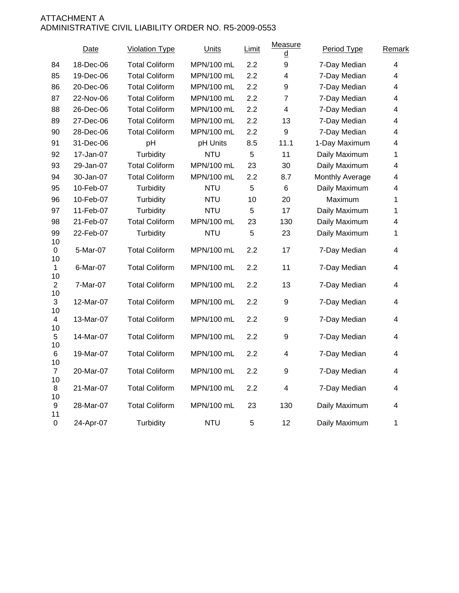|                        | Date      | <b>Violation Type</b> | Units      | Limit | Measure<br>₫            | Period Type     | Remark                   |
|------------------------|-----------|-----------------------|------------|-------|-------------------------|-----------------|--------------------------|
| 84                     | 18-Dec-06 | <b>Total Coliform</b> | MPN/100 mL | 2.2   | 9                       | 7-Day Median    | $\overline{\mathcal{A}}$ |
| 85                     | 19-Dec-06 | <b>Total Coliform</b> | MPN/100 mL | 2.2   | $\overline{\mathbf{4}}$ | 7-Day Median    | 4                        |
| 86                     | 20-Dec-06 | <b>Total Coliform</b> | MPN/100 mL | 2.2   | 9                       | 7-Day Median    | 4                        |
| 87                     | 22-Nov-06 | <b>Total Coliform</b> | MPN/100 mL | 2.2   | $\overline{7}$          | 7-Day Median    | 4                        |
| 88                     | 26-Dec-06 | <b>Total Coliform</b> | MPN/100 mL | 2.2   | $\overline{\mathbf{4}}$ | 7-Day Median    | 4                        |
| 89                     | 27-Dec-06 | <b>Total Coliform</b> | MPN/100 mL | 2.2   | 13                      | 7-Day Median    | 4                        |
| 90                     | 28-Dec-06 | <b>Total Coliform</b> | MPN/100 mL | 2.2   | 9                       | 7-Day Median    | $\overline{\mathcal{A}}$ |
| 91                     | 31-Dec-06 | pH                    | pH Units   | 8.5   | 11.1                    | 1-Day Maximum   | $\overline{\mathcal{A}}$ |
| 92                     | 17-Jan-07 | Turbidity             | <b>NTU</b> | 5     | 11                      | Daily Maximum   | 1                        |
| 93                     | 29-Jan-07 | <b>Total Coliform</b> | MPN/100 mL | 23    | 30                      | Daily Maximum   | 4                        |
| 94                     | 30-Jan-07 | <b>Total Coliform</b> | MPN/100 mL | 2.2   | 8.7                     | Monthly Average | 4                        |
| 95                     | 10-Feb-07 | Turbidity             | <b>NTU</b> | 5     | $6\phantom{1}$          | Daily Maximum   | 4                        |
| 96                     | 10-Feb-07 | Turbidity             | <b>NTU</b> | 10    | 20                      | Maximum         | 1                        |
| 97                     | 11-Feb-07 | Turbidity             | <b>NTU</b> | 5     | 17                      | Daily Maximum   | 1                        |
| 98                     | 21-Feb-07 | <b>Total Coliform</b> | MPN/100 mL | 23    | 130                     | Daily Maximum   | 4                        |
| 99<br>10               | 22-Feb-07 | Turbidity             | <b>NTU</b> | 5     | 23                      | Daily Maximum   | 1                        |
| 0<br>10                | 5-Mar-07  | <b>Total Coliform</b> | MPN/100 mL | 2.2   | 17                      | 7-Day Median    | 4                        |
| $\mathbf{1}$<br>10     | 6-Mar-07  | <b>Total Coliform</b> | MPN/100 mL | 2.2   | 11                      | 7-Day Median    | 4                        |
| $\overline{2}$<br>10   | 7-Mar-07  | <b>Total Coliform</b> | MPN/100 mL | 2.2   | 13                      | 7-Day Median    | $\overline{\mathcal{A}}$ |
| 3<br>10                | 12-Mar-07 | <b>Total Coliform</b> | MPN/100 mL | 2.2   | $\boldsymbol{9}$        | 7-Day Median    | 4                        |
| 4                      | 13-Mar-07 | <b>Total Coliform</b> | MPN/100 mL | 2.2   | 9                       | 7-Day Median    | 4                        |
| 10<br>5<br>10          | 14-Mar-07 | <b>Total Coliform</b> | MPN/100 mL | 2.2   | 9                       | 7-Day Median    | 4                        |
| 6<br>10                | 19-Mar-07 | <b>Total Coliform</b> | MPN/100 mL | 2.2   | 4                       | 7-Day Median    | 4                        |
| $\overline{7}$<br>10   | 20-Mar-07 | <b>Total Coliform</b> | MPN/100 mL | 2.2   | 9                       | 7-Day Median    | 4                        |
| 8<br>10                | 21-Mar-07 | <b>Total Coliform</b> | MPN/100 mL | 2.2   | $\overline{\mathbf{4}}$ | 7-Day Median    | 4                        |
| $\boldsymbol{9}$<br>11 | 28-Mar-07 | <b>Total Coliform</b> | MPN/100 mL | 23    | 130                     | Daily Maximum   | 4                        |
| 0                      | 24-Apr-07 | Turbidity             | <b>NTU</b> | 5     | 12                      | Daily Maximum   | 1                        |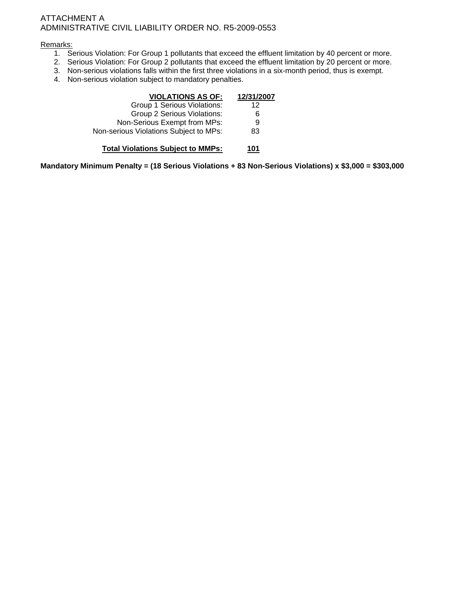#### Remarks:

- 1. Serious Violation: For Group 1 pollutants that exceed the effluent limitation by 40 percent or more.
- 2. Serious Violation: For Group 2 pollutants that exceed the effluent limitation by 20 percent or more.
- 3. Non-serious violations falls within the first three violations in a six-month period, thus is exempt.
- 4. Non-serious violation subject to mandatory penalties.

| <b>VIOLATIONS AS OF:</b>                 | 12/31/2007 |
|------------------------------------------|------------|
| Group 1 Serious Violations:              | 12         |
| Group 2 Serious Violations:              | 6          |
| Non-Serious Exempt from MPs:             | 9          |
| Non-serious Violations Subject to MPs:   | 83         |
| <b>Total Violations Subject to MMPs:</b> | 101        |

**Mandatory Minimum Penalty = (18 Serious Violations + 83 Non-Serious Violations) x \$3,000 = \$303,000**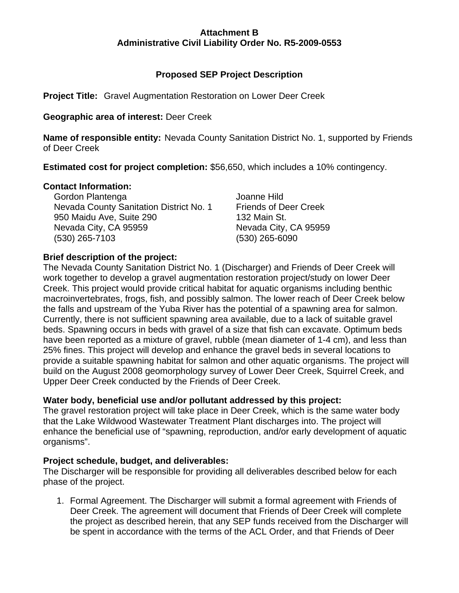# **Attachment B Administrative Civil Liability Order No. R5-2009-0553**

# **Proposed SEP Project Description**

**Project Title:** Gravel Augmentation Restoration on Lower Deer Creek

# **Geographic area of interest:** Deer Creek

**Name of responsible entity:** Nevada County Sanitation District No. 1, supported by Friends of Deer Creek

**Estimated cost for project completion:** \$56,650, which includes a 10% contingency.

# **Contact Information:**

Gordon Plantenga **Gordon Plantenga** Joanne Hild Nevada County Sanitation District No. 1 Friends of Deer Creek 950 Maidu Ave, Suite 290 132 Main St. Nevada City, CA 95959 Nevada City, CA 95959 (530) 265-7103 (530) 265-6090

# **Brief description of the project:**

The Nevada County Sanitation District No. 1 (Discharger) and Friends of Deer Creek will work together to develop a gravel augmentation restoration project/study on lower Deer Creek. This project would provide critical habitat for aquatic organisms including benthic macroinvertebrates, frogs, fish, and possibly salmon. The lower reach of Deer Creek below the falls and upstream of the Yuba River has the potential of a spawning area for salmon. Currently, there is not sufficient spawning area available, due to a lack of suitable gravel beds. Spawning occurs in beds with gravel of a size that fish can excavate. Optimum beds have been reported as a mixture of gravel, rubble (mean diameter of 1-4 cm), and less than 25% fines. This project will develop and enhance the gravel beds in several locations to provide a suitable spawning habitat for salmon and other aquatic organisms. The project will build on the August 2008 geomorphology survey of Lower Deer Creek, Squirrel Creek, and Upper Deer Creek conducted by the Friends of Deer Creek.

# **Water body, beneficial use and/or pollutant addressed by this project:**

The gravel restoration project will take place in Deer Creek, which is the same water body that the Lake Wildwood Wastewater Treatment Plant discharges into. The project will enhance the beneficial use of "spawning, reproduction, and/or early development of aquatic organisms".

# **Project schedule, budget, and deliverables:**

The Discharger will be responsible for providing all deliverables described below for each phase of the project.

1. Formal Agreement. The Discharger will submit a formal agreement with Friends of Deer Creek. The agreement will document that Friends of Deer Creek will complete the project as described herein, that any SEP funds received from the Discharger will be spent in accordance with the terms of the ACL Order, and that Friends of Deer